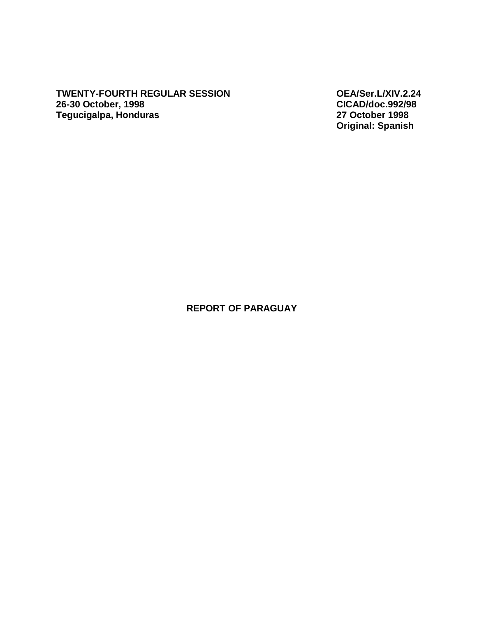**TWENTY-FOURTH REGULAR SESSION OEA/Ser.L/XIV.2.24 26-30 October, 1998 CICAD/doc.992/98 Tegucigalpa, Honduras** 

**Original: Spanish** 

## **REPORT OF PARAGUAY**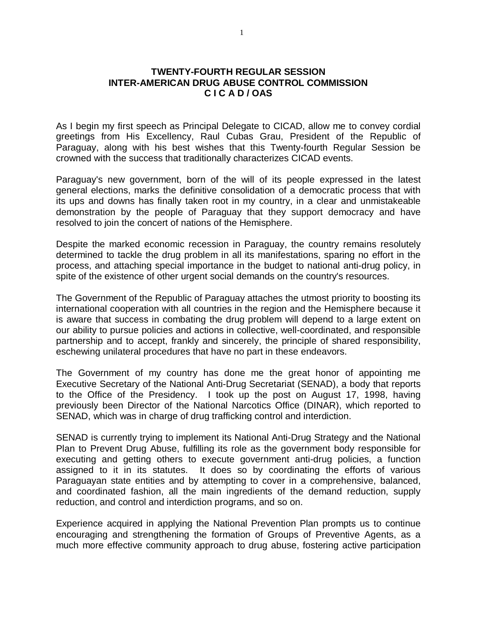## **TWENTY-FOURTH REGULAR SESSION INTER-AMERICAN DRUG ABUSE CONTROL COMMISSION C I C A D / OAS**

As I begin my first speech as Principal Delegate to CICAD, allow me to convey cordial greetings from His Excellency, Raul Cubas Grau, President of the Republic of Paraguay, along with his best wishes that this Twenty-fourth Regular Session be crowned with the success that traditionally characterizes CICAD events.

Paraguay's new government, born of the will of its people expressed in the latest general elections, marks the definitive consolidation of a democratic process that with its ups and downs has finally taken root in my country, in a clear and unmistakeable demonstration by the people of Paraguay that they support democracy and have resolved to join the concert of nations of the Hemisphere.

Despite the marked economic recession in Paraguay, the country remains resolutely determined to tackle the drug problem in all its manifestations, sparing no effort in the process, and attaching special importance in the budget to national anti-drug policy, in spite of the existence of other urgent social demands on the country's resources.

The Government of the Republic of Paraguay attaches the utmost priority to boosting its international cooperation with all countries in the region and the Hemisphere because it is aware that success in combating the drug problem will depend to a large extent on our ability to pursue policies and actions in collective, well-coordinated, and responsible partnership and to accept, frankly and sincerely, the principle of shared responsibility, eschewing unilateral procedures that have no part in these endeavors.

The Government of my country has done me the great honor of appointing me Executive Secretary of the National Anti-Drug Secretariat (SENAD), a body that reports to the Office of the Presidency. I took up the post on August 17, 1998, having previously been Director of the National Narcotics Office (DINAR), which reported to SENAD, which was in charge of drug trafficking control and interdiction.

SENAD is currently trying to implement its National Anti-Drug Strategy and the National Plan to Prevent Drug Abuse, fulfilling its role as the government body responsible for executing and getting others to execute government anti-drug policies, a function assigned to it in its statutes. It does so by coordinating the efforts of various Paraguayan state entities and by attempting to cover in a comprehensive, balanced, and coordinated fashion, all the main ingredients of the demand reduction, supply reduction, and control and interdiction programs, and so on.

Experience acquired in applying the National Prevention Plan prompts us to continue encouraging and strengthening the formation of Groups of Preventive Agents, as a much more effective community approach to drug abuse, fostering active participation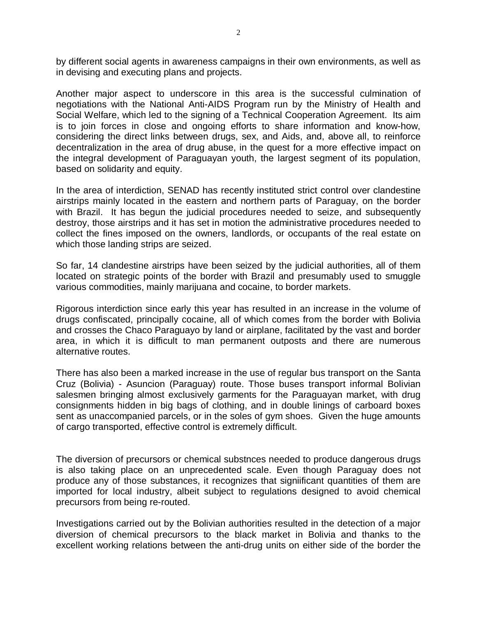by different social agents in awareness campaigns in their own environments, as well as in devising and executing plans and projects.

Another major aspect to underscore in this area is the successful culmination of negotiations with the National Anti-AIDS Program run by the Ministry of Health and Social Welfare, which led to the signing of a Technical Cooperation Agreement. Its aim is to join forces in close and ongoing efforts to share information and know-how, considering the direct links between drugs, sex, and Aids, and, above all, to reinforce decentralization in the area of drug abuse, in the quest for a more effective impact on the integral development of Paraguayan youth, the largest segment of its population, based on solidarity and equity.

In the area of interdiction, SENAD has recently instituted strict control over clandestine airstrips mainly located in the eastern and northern parts of Paraguay, on the border with Brazil. It has begun the judicial procedures needed to seize, and subsequently destroy, those airstrips and it has set in motion the administrative procedures needed to collect the fines imposed on the owners, landlords, or occupants of the real estate on which those landing strips are seized.

So far, 14 clandestine airstrips have been seized by the judicial authorities, all of them located on strategic points of the border with Brazil and presumably used to smuggle various commodities, mainly marijuana and cocaine, to border markets.

Rigorous interdiction since early this year has resulted in an increase in the volume of drugs confiscated, principally cocaine, all of which comes from the border with Bolivia and crosses the Chaco Paraguayo by land or airplane, facilitated by the vast and border area, in which it is difficult to man permanent outposts and there are numerous alternative routes.

There has also been a marked increase in the use of regular bus transport on the Santa Cruz (Bolivia) - Asuncion (Paraguay) route. Those buses transport informal Bolivian salesmen bringing almost exclusively garments for the Paraguayan market, with drug consignments hidden in big bags of clothing, and in double linings of carboard boxes sent as unaccompanied parcels, or in the soles of gym shoes. Given the huge amounts of cargo transported, effective control is extremely difficult.

The diversion of precursors or chemical substnces needed to produce dangerous drugs is also taking place on an unprecedented scale. Even though Paraguay does not produce any of those substances, it recognizes that signiificant quantities of them are imported for local industry, albeit subject to regulations designed to avoid chemical precursors from being re-routed.

Investigations carried out by the Bolivian authorities resulted in the detection of a major diversion of chemical precursors to the black market in Bolivia and thanks to the excellent working relations between the anti-drug units on either side of the border the